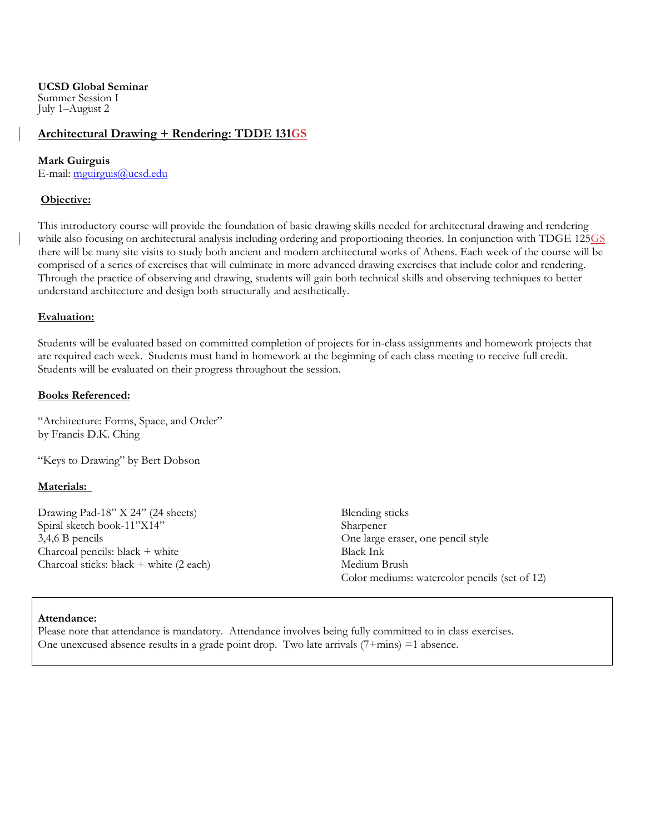**UCSD Global Seminar**  Summer Session I July 1–August 2

# **Architectural Drawing + Rendering: TDDE 131GS**

#### **Mark Guirguis**

E-mail: mguirguis@ucsd.edu

## **Objective:**

This introductory course will provide the foundation of basic drawing skills needed for architectural drawing and rendering while also focusing on architectural analysis including ordering and proportioning theories. In conjunction with TDGE 125GS there will be many site visits to study both ancient and modern architectural works of Athens. Each week of the course will be comprised of a series of exercises that will culminate in more advanced drawing exercises that include color and rendering. Through the practice of observing and drawing, students will gain both technical skills and observing techniques to better understand architecture and design both structurally and aesthetically.

## **Evaluation:**

Students will be evaluated based on committed completion of projects for in-class assignments and homework projects that are required each week. Students must hand in homework at the beginning of each class meeting to receive full credit. Students will be evaluated on their progress throughout the session.

#### **Books Referenced:**

"Architecture: Forms, Space, and Order" by Francis D.K. Ching

"Keys to Drawing" by Bert Dobson

## **Materials:**

Drawing Pad-18" X 24" (24 sheets) Spiral sketch book-11"X14" 3,4,6 B pencils Charcoal pencils: black + white Charcoal sticks: black + white (2 each)

Blending sticks Sharpener One large eraser, one pencil style Black Ink Medium Brush Color mediums: watercolor pencils (set of 12)

## **Attendance:**

Please note that attendance is mandatory. Attendance involves being fully committed to in class exercises. One unexcused absence results in a grade point drop. Two late arrivals (7+mins) =1 absence.